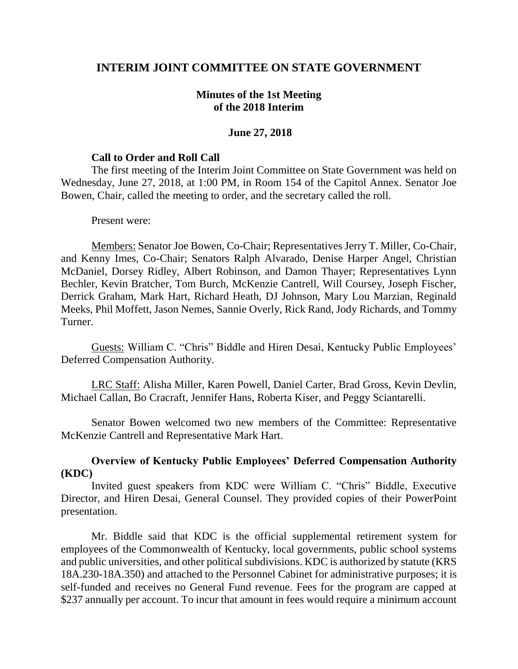# **INTERIM JOINT COMMITTEE ON STATE GOVERNMENT**

### **Minutes of the 1st Meeting of the 2018 Interim**

### **June 27, 2018**

#### **Call to Order and Roll Call**

The first meeting of the Interim Joint Committee on State Government was held on Wednesday, June 27, 2018, at 1:00 PM, in Room 154 of the Capitol Annex. Senator Joe Bowen, Chair, called the meeting to order, and the secretary called the roll.

#### Present were:

Members: Senator Joe Bowen, Co-Chair; Representatives Jerry T. Miller, Co-Chair, and Kenny Imes, Co-Chair; Senators Ralph Alvarado, Denise Harper Angel, Christian McDaniel, Dorsey Ridley, Albert Robinson, and Damon Thayer; Representatives Lynn Bechler, Kevin Bratcher, Tom Burch, McKenzie Cantrell, Will Coursey, Joseph Fischer, Derrick Graham, Mark Hart, Richard Heath, DJ Johnson, Mary Lou Marzian, Reginald Meeks, Phil Moffett, Jason Nemes, Sannie Overly, Rick Rand, Jody Richards, and Tommy Turner.

Guests: William C. "Chris" Biddle and Hiren Desai, Kentucky Public Employees' Deferred Compensation Authority.

LRC Staff: Alisha Miller, Karen Powell, Daniel Carter, Brad Gross, Kevin Devlin, Michael Callan, Bo Cracraft, Jennifer Hans, Roberta Kiser, and Peggy Sciantarelli.

Senator Bowen welcomed two new members of the Committee: Representative McKenzie Cantrell and Representative Mark Hart.

## **Overview of Kentucky Public Employees' Deferred Compensation Authority (KDC)**

Invited guest speakers from KDC were William C. "Chris" Biddle, Executive Director, and Hiren Desai, General Counsel. They provided copies of their PowerPoint presentation.

Mr. Biddle said that KDC is the official supplemental retirement system for employees of the Commonwealth of Kentucky, local governments, public school systems and public universities, and other political subdivisions. KDC is authorized by statute (KRS 18A.230-18A.350) and attached to the Personnel Cabinet for administrative purposes; it is self-funded and receives no General Fund revenue. Fees for the program are capped at \$237 annually per account. To incur that amount in fees would require a minimum account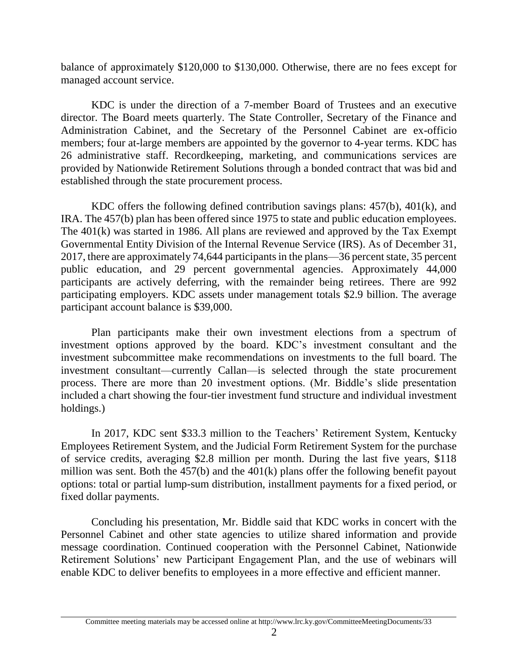balance of approximately \$120,000 to \$130,000. Otherwise, there are no fees except for managed account service.

KDC is under the direction of a 7-member Board of Trustees and an executive director. The Board meets quarterly. The State Controller, Secretary of the Finance and Administration Cabinet, and the Secretary of the Personnel Cabinet are ex-officio members; four at-large members are appointed by the governor to 4-year terms. KDC has 26 administrative staff. Recordkeeping, marketing, and communications services are provided by Nationwide Retirement Solutions through a bonded contract that was bid and established through the state procurement process.

KDC offers the following defined contribution savings plans: 457(b), 401(k), and IRA. The 457(b) plan has been offered since 1975 to state and public education employees. The 401(k) was started in 1986. All plans are reviewed and approved by the Tax Exempt Governmental Entity Division of the Internal Revenue Service (IRS). As of December 31, 2017, there are approximately 74,644 participants in the plans—36 percent state, 35 percent public education, and 29 percent governmental agencies. Approximately 44,000 participants are actively deferring, with the remainder being retirees. There are 992 participating employers. KDC assets under management totals \$2.9 billion. The average participant account balance is \$39,000.

Plan participants make their own investment elections from a spectrum of investment options approved by the board. KDC's investment consultant and the investment subcommittee make recommendations on investments to the full board. The investment consultant—currently Callan—is selected through the state procurement process. There are more than 20 investment options. (Mr. Biddle's slide presentation included a chart showing the four-tier investment fund structure and individual investment holdings.)

In 2017, KDC sent \$33.3 million to the Teachers' Retirement System, Kentucky Employees Retirement System, and the Judicial Form Retirement System for the purchase of service credits, averaging \$2.8 million per month. During the last five years, \$118 million was sent. Both the 457(b) and the 401(k) plans offer the following benefit payout options: total or partial lump-sum distribution, installment payments for a fixed period, or fixed dollar payments.

Concluding his presentation, Mr. Biddle said that KDC works in concert with the Personnel Cabinet and other state agencies to utilize shared information and provide message coordination. Continued cooperation with the Personnel Cabinet, Nationwide Retirement Solutions' new Participant Engagement Plan, and the use of webinars will enable KDC to deliver benefits to employees in a more effective and efficient manner.

Committee meeting materials may be accessed online at http://www.lrc.ky.gov/CommitteeMeetingDocuments/33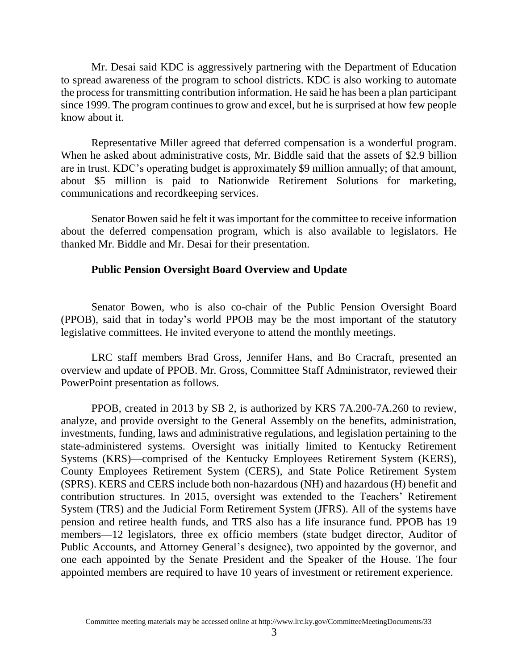Mr. Desai said KDC is aggressively partnering with the Department of Education to spread awareness of the program to school districts. KDC is also working to automate the process for transmitting contribution information. He said he has been a plan participant since 1999. The program continues to grow and excel, but he is surprised at how few people know about it.

Representative Miller agreed that deferred compensation is a wonderful program. When he asked about administrative costs, Mr. Biddle said that the assets of \$2.9 billion are in trust. KDC's operating budget is approximately \$9 million annually; of that amount, about \$5 million is paid to Nationwide Retirement Solutions for marketing, communications and recordkeeping services.

Senator Bowen said he felt it was important for the committee to receive information about the deferred compensation program, which is also available to legislators. He thanked Mr. Biddle and Mr. Desai for their presentation.

# **Public Pension Oversight Board Overview and Update**

Senator Bowen, who is also co-chair of the Public Pension Oversight Board (PPOB), said that in today's world PPOB may be the most important of the statutory legislative committees. He invited everyone to attend the monthly meetings.

LRC staff members Brad Gross, Jennifer Hans, and Bo Cracraft, presented an overview and update of PPOB. Mr. Gross, Committee Staff Administrator, reviewed their PowerPoint presentation as follows.

PPOB, created in 2013 by SB 2, is authorized by KRS 7A.200-7A.260 to review, analyze, and provide oversight to the General Assembly on the benefits, administration, investments, funding, laws and administrative regulations, and legislation pertaining to the state-administered systems. Oversight was initially limited to Kentucky Retirement Systems (KRS)—comprised of the Kentucky Employees Retirement System (KERS), County Employees Retirement System (CERS), and State Police Retirement System (SPRS). KERS and CERS include both non-hazardous (NH) and hazardous (H) benefit and contribution structures. In 2015, oversight was extended to the Teachers' Retirement System (TRS) and the Judicial Form Retirement System (JFRS). All of the systems have pension and retiree health funds, and TRS also has a life insurance fund. PPOB has 19 members—12 legislators, three ex officio members (state budget director, Auditor of Public Accounts, and Attorney General's designee), two appointed by the governor, and one each appointed by the Senate President and the Speaker of the House. The four appointed members are required to have 10 years of investment or retirement experience.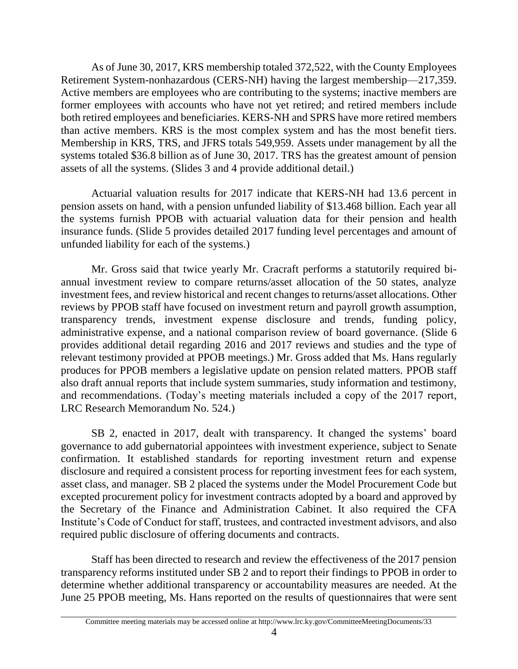As of June 30, 2017, KRS membership totaled 372,522, with the County Employees Retirement System-nonhazardous (CERS-NH) having the largest membership—217,359. Active members are employees who are contributing to the systems; inactive members are former employees with accounts who have not yet retired; and retired members include both retired employees and beneficiaries. KERS-NH and SPRS have more retired members than active members. KRS is the most complex system and has the most benefit tiers. Membership in KRS, TRS, and JFRS totals 549,959. Assets under management by all the systems totaled \$36.8 billion as of June 30, 2017. TRS has the greatest amount of pension assets of all the systems. (Slides 3 and 4 provide additional detail.)

Actuarial valuation results for 2017 indicate that KERS-NH had 13.6 percent in pension assets on hand, with a pension unfunded liability of \$13.468 billion. Each year all the systems furnish PPOB with actuarial valuation data for their pension and health insurance funds. (Slide 5 provides detailed 2017 funding level percentages and amount of unfunded liability for each of the systems.)

Mr. Gross said that twice yearly Mr. Cracraft performs a statutorily required biannual investment review to compare returns/asset allocation of the 50 states, analyze investment fees, and review historical and recent changes to returns/asset allocations. Other reviews by PPOB staff have focused on investment return and payroll growth assumption, transparency trends, investment expense disclosure and trends, funding policy, administrative expense, and a national comparison review of board governance. (Slide 6 provides additional detail regarding 2016 and 2017 reviews and studies and the type of relevant testimony provided at PPOB meetings.) Mr. Gross added that Ms. Hans regularly produces for PPOB members a legislative update on pension related matters. PPOB staff also draft annual reports that include system summaries, study information and testimony, and recommendations. (Today's meeting materials included a copy of the 2017 report, LRC Research Memorandum No. 524.)

SB 2, enacted in 2017, dealt with transparency. It changed the systems' board governance to add gubernatorial appointees with investment experience, subject to Senate confirmation. It established standards for reporting investment return and expense disclosure and required a consistent process for reporting investment fees for each system, asset class, and manager. SB 2 placed the systems under the Model Procurement Code but excepted procurement policy for investment contracts adopted by a board and approved by the Secretary of the Finance and Administration Cabinet. It also required the CFA Institute's Code of Conduct for staff, trustees, and contracted investment advisors, and also required public disclosure of offering documents and contracts.

Staff has been directed to research and review the effectiveness of the 2017 pension transparency reforms instituted under SB 2 and to report their findings to PPOB in order to determine whether additional transparency or accountability measures are needed. At the June 25 PPOB meeting, Ms. Hans reported on the results of questionnaires that were sent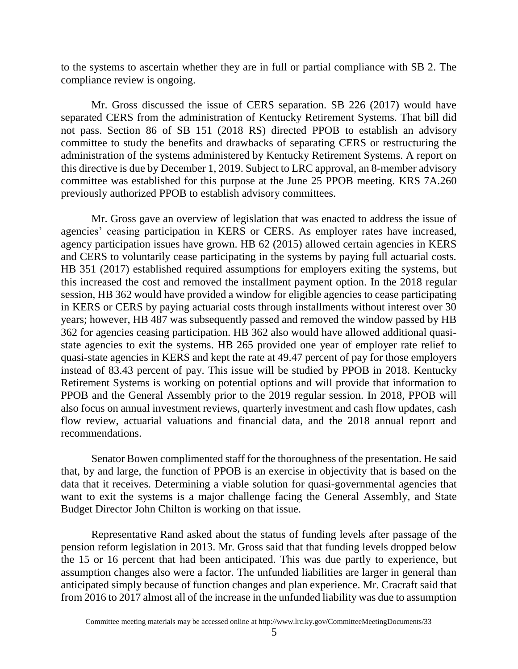to the systems to ascertain whether they are in full or partial compliance with SB 2. The compliance review is ongoing.

Mr. Gross discussed the issue of CERS separation. SB 226 (2017) would have separated CERS from the administration of Kentucky Retirement Systems. That bill did not pass. Section 86 of SB 151 (2018 RS) directed PPOB to establish an advisory committee to study the benefits and drawbacks of separating CERS or restructuring the administration of the systems administered by Kentucky Retirement Systems. A report on this directive is due by December 1, 2019. Subject to LRC approval, an 8-member advisory committee was established for this purpose at the June 25 PPOB meeting. KRS 7A.260 previously authorized PPOB to establish advisory committees.

Mr. Gross gave an overview of legislation that was enacted to address the issue of agencies' ceasing participation in KERS or CERS. As employer rates have increased, agency participation issues have grown. HB 62 (2015) allowed certain agencies in KERS and CERS to voluntarily cease participating in the systems by paying full actuarial costs. HB 351 (2017) established required assumptions for employers exiting the systems, but this increased the cost and removed the installment payment option. In the 2018 regular session, HB 362 would have provided a window for eligible agencies to cease participating in KERS or CERS by paying actuarial costs through installments without interest over 30 years; however, HB 487 was subsequently passed and removed the window passed by HB 362 for agencies ceasing participation. HB 362 also would have allowed additional quasistate agencies to exit the systems. HB 265 provided one year of employer rate relief to quasi-state agencies in KERS and kept the rate at 49.47 percent of pay for those employers instead of 83.43 percent of pay. This issue will be studied by PPOB in 2018. Kentucky Retirement Systems is working on potential options and will provide that information to PPOB and the General Assembly prior to the 2019 regular session. In 2018, PPOB will also focus on annual investment reviews, quarterly investment and cash flow updates, cash flow review, actuarial valuations and financial data, and the 2018 annual report and recommendations.

Senator Bowen complimented staff for the thoroughness of the presentation. He said that, by and large, the function of PPOB is an exercise in objectivity that is based on the data that it receives. Determining a viable solution for quasi-governmental agencies that want to exit the systems is a major challenge facing the General Assembly, and State Budget Director John Chilton is working on that issue.

Representative Rand asked about the status of funding levels after passage of the pension reform legislation in 2013. Mr. Gross said that that funding levels dropped below the 15 or 16 percent that had been anticipated. This was due partly to experience, but assumption changes also were a factor. The unfunded liabilities are larger in general than anticipated simply because of function changes and plan experience. Mr. Cracraft said that from 2016 to 2017 almost all of the increase in the unfunded liability was due to assumption

Committee meeting materials may be accessed online at http://www.lrc.ky.gov/CommitteeMeetingDocuments/33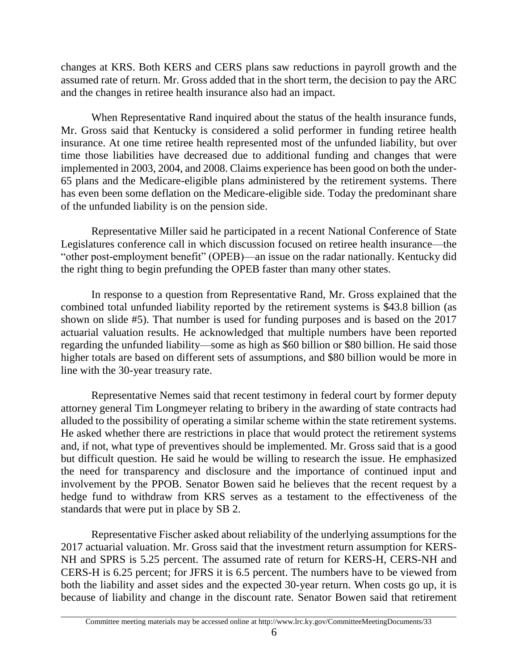changes at KRS. Both KERS and CERS plans saw reductions in payroll growth and the assumed rate of return. Mr. Gross added that in the short term, the decision to pay the ARC and the changes in retiree health insurance also had an impact.

When Representative Rand inquired about the status of the health insurance funds, Mr. Gross said that Kentucky is considered a solid performer in funding retiree health insurance. At one time retiree health represented most of the unfunded liability, but over time those liabilities have decreased due to additional funding and changes that were implemented in 2003, 2004, and 2008. Claims experience has been good on both the under-65 plans and the Medicare-eligible plans administered by the retirement systems. There has even been some deflation on the Medicare-eligible side. Today the predominant share of the unfunded liability is on the pension side.

Representative Miller said he participated in a recent National Conference of State Legislatures conference call in which discussion focused on retiree health insurance—the "other post-employment benefit" (OPEB)—an issue on the radar nationally. Kentucky did the right thing to begin prefunding the OPEB faster than many other states.

In response to a question from Representative Rand, Mr. Gross explained that the combined total unfunded liability reported by the retirement systems is \$43.8 billion (as shown on slide #5). That number is used for funding purposes and is based on the 2017 actuarial valuation results. He acknowledged that multiple numbers have been reported regarding the unfunded liability—some as high as \$60 billion or \$80 billion. He said those higher totals are based on different sets of assumptions, and \$80 billion would be more in line with the 30-year treasury rate.

Representative Nemes said that recent testimony in federal court by former deputy attorney general Tim Longmeyer relating to bribery in the awarding of state contracts had alluded to the possibility of operating a similar scheme within the state retirement systems. He asked whether there are restrictions in place that would protect the retirement systems and, if not, what type of preventives should be implemented. Mr. Gross said that is a good but difficult question. He said he would be willing to research the issue. He emphasized the need for transparency and disclosure and the importance of continued input and involvement by the PPOB. Senator Bowen said he believes that the recent request by a hedge fund to withdraw from KRS serves as a testament to the effectiveness of the standards that were put in place by SB 2.

Representative Fischer asked about reliability of the underlying assumptions for the 2017 actuarial valuation. Mr. Gross said that the investment return assumption for KERS-NH and SPRS is 5.25 percent. The assumed rate of return for KERS-H, CERS-NH and CERS-H is 6.25 percent; for JFRS it is 6.5 percent. The numbers have to be viewed from both the liability and asset sides and the expected 30-year return. When costs go up, it is because of liability and change in the discount rate. Senator Bowen said that retirement